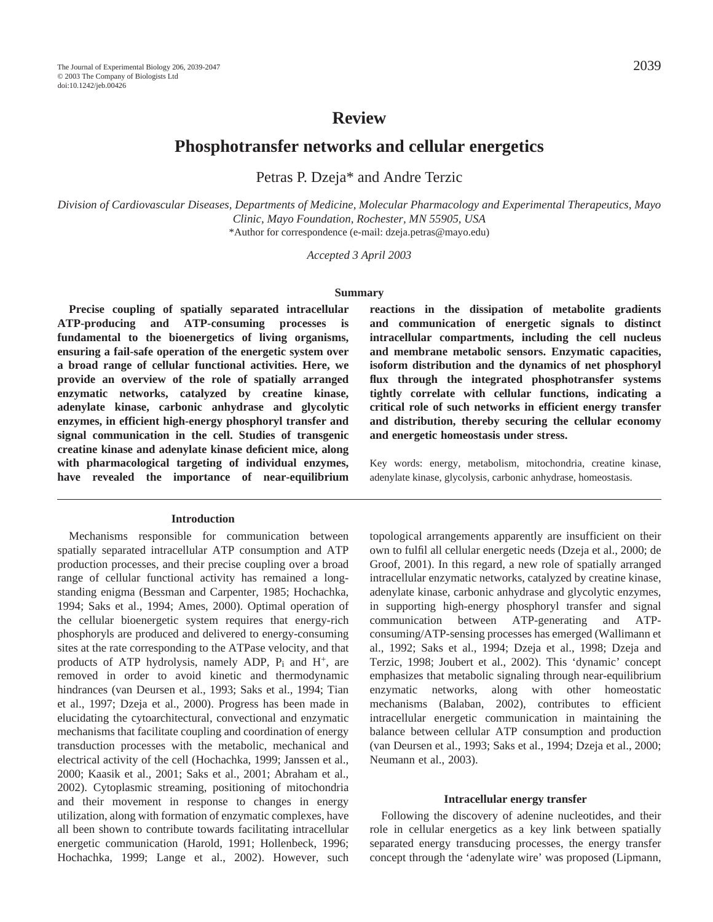# **Review**

# **Phosphotransfer networks and cellular energetics**

Petras P. Dzeja\* and Andre Terzic

*Division of Cardiovascular Diseases, Departments of Medicine, Molecular Pharmacology and Experimental Therapeutics, Mayo Clinic, Mayo Foundation, Rochester, MN 55905, USA* \*Author for correspondence (e-mail: dzeja.petras@mayo.edu)

*Accepted 3 April 2003* 

#### **Summary**

**Precise coupling of spatially separated intracellular ATP-producing and ATP-consuming processes is fundamental to the bioenergetics of living organisms, ensuring a fail-safe operation of the energetic system over a broad range of cellular functional activities. Here, we provide an overview of the role of spatially arranged enzymatic networks, catalyzed by creatine kinase, adenylate kinase, carbonic anhydrase and glycolytic enzymes, in efficient high-energy phosphoryl transfer and signal communication in the cell. Studies of transgenic creatine kinase and adenylate kinase deficient mice, along with pharmacological targeting of individual enzymes, have revealed the importance of near-equilibrium**

#### **Introduction**

Mechanisms responsible for communication between spatially separated intracellular ATP consumption and ATP production processes, and their precise coupling over a broad range of cellular functional activity has remained a longstanding enigma (Bessman and Carpenter, 1985; Hochachka, 1994; Saks et al., 1994; Ames, 2000). Optimal operation of the cellular bioenergetic system requires that energy-rich phosphoryls are produced and delivered to energy-consuming sites at the rate corresponding to the ATPase velocity, and that products of ATP hydrolysis, namely ADP,  $P_i$  and  $H^+$ , are removed in order to avoid kinetic and thermodynamic hindrances (van Deursen et al., 1993; Saks et al., 1994; Tian et al., 1997; Dzeja et al., 2000). Progress has been made in elucidating the cytoarchitectural, convectional and enzymatic mechanisms that facilitate coupling and coordination of energy transduction processes with the metabolic, mechanical and electrical activity of the cell (Hochachka, 1999; Janssen et al., 2000; Kaasik et al., 2001; Saks et al., 2001; Abraham et al., 2002). Cytoplasmic streaming, positioning of mitochondria and their movement in response to changes in energy utilization, along with formation of enzymatic complexes, have all been shown to contribute towards facilitating intracellular energetic communication (Harold, 1991; Hollenbeck, 1996; Hochachka, 1999; Lange et al., 2002). However, such

**reactions in the dissipation of metabolite gradients and communication of energetic signals to distinct intracellular compartments, including the cell nucleus and membrane metabolic sensors. Enzymatic capacities, isoform distribution and the dynamics of net phosphoryl flux through the integrated phosphotransfer systems tightly correlate with cellular functions, indicating a critical role of such networks in efficient energy transfer and distribution, thereby securing the cellular economy and energetic homeostasis under stress.** 

Key words: energy, metabolism, mitochondria, creatine kinase, adenylate kinase, glycolysis, carbonic anhydrase, homeostasis.

topological arrangements apparently are insufficient on their own to fulfil all cellular energetic needs (Dzeja et al., 2000; de Groof, 2001). In this regard, a new role of spatially arranged intracellular enzymatic networks, catalyzed by creatine kinase, adenylate kinase, carbonic anhydrase and glycolytic enzymes, in supporting high-energy phosphoryl transfer and signal communication between ATP-generating and ATPconsuming/ATP-sensing processes has emerged (Wallimann et al., 1992; Saks et al., 1994; Dzeja et al., 1998; Dzeja and Terzic, 1998; Joubert et al., 2002). This 'dynamic' concept emphasizes that metabolic signaling through near-equilibrium enzymatic networks, along with other homeostatic mechanisms (Balaban, 2002), contributes to efficient intracellular energetic communication in maintaining the balance between cellular ATP consumption and production (van Deursen et al., 1993; Saks et al., 1994; Dzeja et al., 2000; Neumann et al., 2003).

#### **Intracellular energy transfer**

Following the discovery of adenine nucleotides, and their role in cellular energetics as a key link between spatially separated energy transducing processes, the energy transfer concept through the 'adenylate wire' was proposed (Lipmann,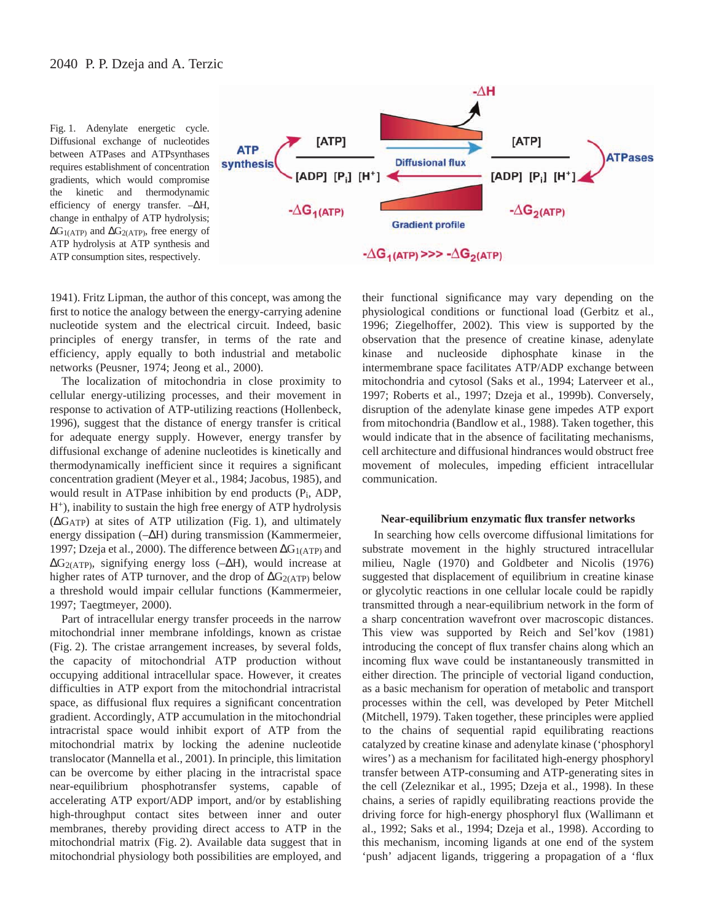Fig. 1. Adenylate energetic cycle. Diffusional exchange of nucleotides between ATPases and ATPsynthases requires establishment of concentration gradients, which would compromise the kinetic and thermodynamic efficiency of energy transfer. –∆H, change in enthalpy of ATP hydrolysis; ∆G1(ATP) and ∆G2(ATP), free energy of ATP hydrolysis at ATP synthesis and ATP consumption sites, respectively.



1941). Fritz Lipman, the author of this concept, was among the first to notice the analogy between the energy-carrying adenine nucleotide system and the electrical circuit. Indeed, basic principles of energy transfer, in terms of the rate and efficiency, apply equally to both industrial and metabolic networks (Peusner, 1974; Jeong et al., 2000).

The localization of mitochondria in close proximity to cellular energy-utilizing processes, and their movement in response to activation of ATP-utilizing reactions (Hollenbeck, 1996), suggest that the distance of energy transfer is critical for adequate energy supply. However, energy transfer by diffusional exchange of adenine nucleotides is kinetically and thermodynamically inefficient since it requires a significant concentration gradient (Meyer et al., 1984; Jacobus, 1985), and would result in ATPase inhibition by end products (Pi, ADP, H+), inability to sustain the high free energy of ATP hydrolysis  $(\Delta G_{ATP})$  at sites of ATP utilization (Fig. 1), and ultimately energy dissipation (–∆H) during transmission (Kammermeier, 1997; Dzeja et al., 2000). The difference between ΔG<sub>1(ATP)</sub> and ∆G2(ATP), signifying energy loss (–∆H), would increase at higher rates of ATP turnover, and the drop of  $\Delta G_{2(ATP)}$  below a threshold would impair cellular functions (Kammermeier, 1997; Taegtmeyer, 2000).

Part of intracellular energy transfer proceeds in the narrow mitochondrial inner membrane infoldings, known as cristae (Fig. 2). The cristae arrangement increases, by several folds, the capacity of mitochondrial ATP production without occupying additional intracellular space. However, it creates difficulties in ATP export from the mitochondrial intracristal space, as diffusional flux requires a significant concentration gradient. Accordingly, ATP accumulation in the mitochondrial intracristal space would inhibit export of ATP from the mitochondrial matrix by locking the adenine nucleotide translocator (Mannella et al., 2001). In principle, this limitation can be overcome by either placing in the intracristal space near-equilibrium phosphotransfer systems, capable of accelerating ATP export/ADP import, and/or by establishing high-throughput contact sites between inner and outer membranes, thereby providing direct access to ATP in the mitochondrial matrix (Fig. 2). Available data suggest that in mitochondrial physiology both possibilities are employed, and

their functional significance may vary depending on the physiological conditions or functional load (Gerbitz et al., 1996; Ziegelhoffer, 2002). This view is supported by the observation that the presence of creatine kinase, adenylate kinase and nucleoside diphosphate kinase in the intermembrane space facilitates ATP/ADP exchange between mitochondria and cytosol (Saks et al., 1994; Laterveer et al., 1997; Roberts et al., 1997; Dzeja et al., 1999b). Conversely, disruption of the adenylate kinase gene impedes ATP export from mitochondria (Bandlow et al., 1988). Taken together, this would indicate that in the absence of facilitating mechanisms, cell architecture and diffusional hindrances would obstruct free movement of molecules, impeding efficient intracellular communication.

#### **Near-equilibrium enzymatic flux transfer networks**

In searching how cells overcome diffusional limitations for substrate movement in the highly structured intracellular milieu, Nagle (1970) and Goldbeter and Nicolis (1976) suggested that displacement of equilibrium in creatine kinase or glycolytic reactions in one cellular locale could be rapidly transmitted through a near-equilibrium network in the form of a sharp concentration wavefront over macroscopic distances. This view was supported by Reich and Sel'kov (1981) introducing the concept of flux transfer chains along which an incoming flux wave could be instantaneously transmitted in either direction. The principle of vectorial ligand conduction, as a basic mechanism for operation of metabolic and transport processes within the cell, was developed by Peter Mitchell (Mitchell, 1979). Taken together, these principles were applied to the chains of sequential rapid equilibrating reactions catalyzed by creatine kinase and adenylate kinase ('phosphoryl wires') as a mechanism for facilitated high-energy phosphoryl transfer between ATP-consuming and ATP-generating sites in the cell (Zeleznikar et al., 1995; Dzeja et al., 1998). In these chains, a series of rapidly equilibrating reactions provide the driving force for high-energy phosphoryl flux (Wallimann et al., 1992; Saks et al., 1994; Dzeja et al., 1998). According to this mechanism, incoming ligands at one end of the system 'push' adjacent ligands, triggering a propagation of a 'flux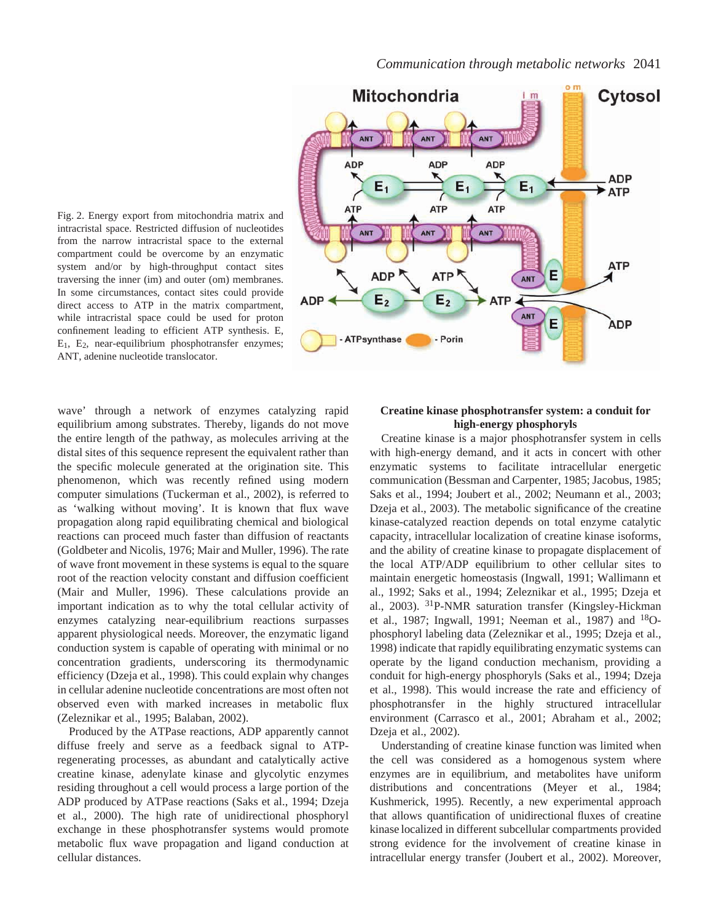

Fig. 2. Energy export from mitochondria matrix and intracristal space. Restricted diffusion of nucleotides from the narrow intracristal space to the external compartment could be overcome by an enzymatic system and/or by high-throughput contact sites traversing the inner (im) and outer (om) membranes. In some circumstances, contact sites could provide direct access to ATP in the matrix compartment, while intracristal space could be used for proton confinement leading to efficient ATP synthesis. E, E1, E2, near-equilibrium phosphotransfer enzymes; ANT, adenine nucleotide translocator.

wave' through a network of enzymes catalyzing rapid equilibrium among substrates. Thereby, ligands do not move the entire length of the pathway, as molecules arriving at the distal sites of this sequence represent the equivalent rather than the specific molecule generated at the origination site. This phenomenon, which was recently refined using modern computer simulations (Tuckerman et al., 2002), is referred to as 'walking without moving'. It is known that flux wave propagation along rapid equilibrating chemical and biological reactions can proceed much faster than diffusion of reactants (Goldbeter and Nicolis, 1976; Mair and Muller, 1996). The rate of wave front movement in these systems is equal to the square root of the reaction velocity constant and diffusion coefficient (Mair and Muller, 1996). These calculations provide an important indication as to why the total cellular activity of enzymes catalyzing near-equilibrium reactions surpasses apparent physiological needs. Moreover, the enzymatic ligand conduction system is capable of operating with minimal or no concentration gradients, underscoring its thermodynamic efficiency (Dzeja et al., 1998). This could explain why changes in cellular adenine nucleotide concentrations are most often not observed even with marked increases in metabolic flux (Zeleznikar et al., 1995; Balaban, 2002).

Produced by the ATPase reactions, ADP apparently cannot diffuse freely and serve as a feedback signal to ATPregenerating processes, as abundant and catalytically active creatine kinase, adenylate kinase and glycolytic enzymes residing throughout a cell would process a large portion of the ADP produced by ATPase reactions (Saks et al., 1994; Dzeja et al., 2000). The high rate of unidirectional phosphoryl exchange in these phosphotransfer systems would promote metabolic flux wave propagation and ligand conduction at cellular distances.

# **Creatine kinase phosphotransfer system: a conduit for high-energy phosphoryls**

Creatine kinase is a major phosphotransfer system in cells with high-energy demand, and it acts in concert with other enzymatic systems to facilitate intracellular energetic communication (Bessman and Carpenter, 1985; Jacobus, 1985; Saks et al., 1994; Joubert et al., 2002; Neumann et al., 2003; Dzeja et al., 2003). The metabolic significance of the creatine kinase-catalyzed reaction depends on total enzyme catalytic capacity, intracellular localization of creatine kinase isoforms, and the ability of creatine kinase to propagate displacement of the local ATP/ADP equilibrium to other cellular sites to maintain energetic homeostasis (Ingwall, 1991; Wallimann et al., 1992; Saks et al., 1994; Zeleznikar et al., 1995; Dzeja et al., 2003). 31P-NMR saturation transfer (Kingsley-Hickman et al., 1987; Ingwall, 1991; Neeman et al., 1987) and 18Ophosphoryl labeling data (Zeleznikar et al., 1995; Dzeja et al., 1998) indicate that rapidly equilibrating enzymatic systems can operate by the ligand conduction mechanism, providing a conduit for high-energy phosphoryls (Saks et al., 1994; Dzeja et al., 1998). This would increase the rate and efficiency of phosphotransfer in the highly structured intracellular environment (Carrasco et al., 2001; Abraham et al., 2002; Dzeja et al., 2002).

Understanding of creatine kinase function was limited when the cell was considered as a homogenous system where enzymes are in equilibrium, and metabolites have uniform distributions and concentrations (Meyer et al., 1984; Kushmerick, 1995). Recently, a new experimental approach that allows quantification of unidirectional fluxes of creatine kinase localized in different subcellular compartments provided strong evidence for the involvement of creatine kinase in intracellular energy transfer (Joubert et al., 2002). Moreover,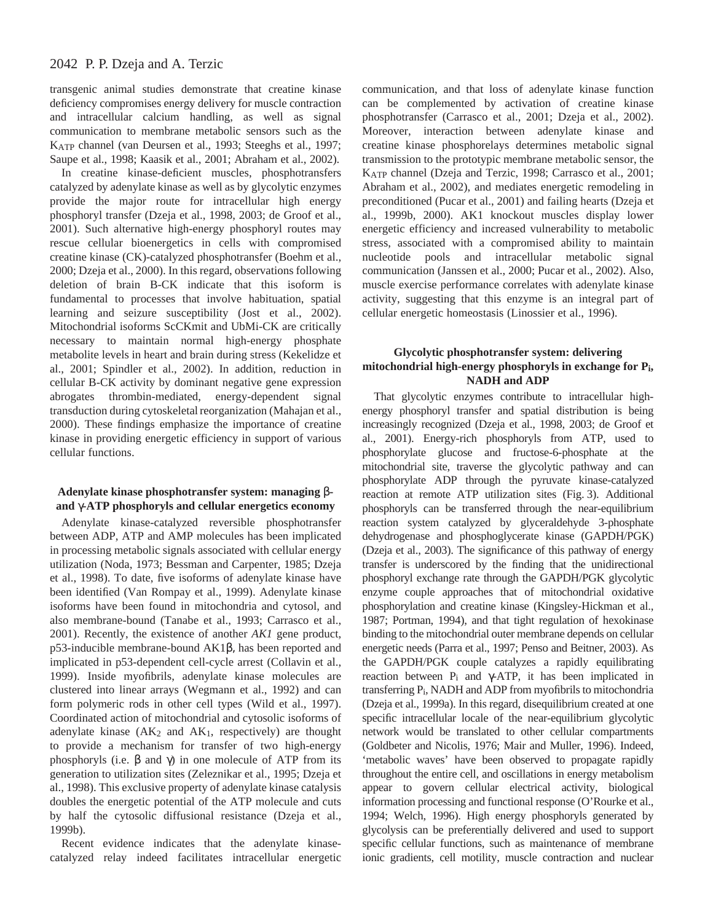transgenic animal studies demonstrate that creatine kinase deficiency compromises energy delivery for muscle contraction and intracellular calcium handling, as well as signal communication to membrane metabolic sensors such as the KATP channel (van Deursen et al., 1993; Steeghs et al., 1997; Saupe et al., 1998; Kaasik et al., 2001; Abraham et al., 2002).

In creatine kinase-deficient muscles, phosphotransfers catalyzed by adenylate kinase as well as by glycolytic enzymes provide the major route for intracellular high energy phosphoryl transfer (Dzeja et al., 1998, 2003; de Groof et al., 2001). Such alternative high-energy phosphoryl routes may rescue cellular bioenergetics in cells with compromised creatine kinase (CK)-catalyzed phosphotransfer (Boehm et al., 2000; Dzeja et al., 2000). In this regard, observations following deletion of brain B-CK indicate that this isoform is fundamental to processes that involve habituation, spatial learning and seizure susceptibility (Jost et al., 2002). Mitochondrial isoforms ScCKmit and UbMi-CK are critically necessary to maintain normal high-energy phosphate metabolite levels in heart and brain during stress (Kekelidze et al., 2001; Spindler et al., 2002). In addition, reduction in cellular B-CK activity by dominant negative gene expression abrogates thrombin-mediated, energy-dependent signal transduction during cytoskeletal reorganization (Mahajan et al., 2000). These findings emphasize the importance of creatine kinase in providing energetic efficiency in support of various cellular functions.

## **Adenylate kinase phosphotransfer system: managing** β**and** γ**-ATP phosphoryls and cellular energetics economy**

Adenylate kinase-catalyzed reversible phosphotransfer between ADP, ATP and AMP molecules has been implicated in processing metabolic signals associated with cellular energy utilization (Noda, 1973; Bessman and Carpenter, 1985; Dzeja et al., 1998). To date, five isoforms of adenylate kinase have been identified (Van Rompay et al., 1999). Adenylate kinase isoforms have been found in mitochondria and cytosol, and also membrane-bound (Tanabe et al., 1993; Carrasco et al., 2001). Recently, the existence of another *AK1* gene product, p53-inducible membrane-bound AK1β, has been reported and implicated in p53-dependent cell-cycle arrest (Collavin et al., 1999). Inside myofibrils, adenylate kinase molecules are clustered into linear arrays (Wegmann et al., 1992) and can form polymeric rods in other cell types (Wild et al., 1997). Coordinated action of mitochondrial and cytosolic isoforms of adenylate kinase  $(AK_2$  and  $AK_1$ , respectively) are thought to provide a mechanism for transfer of two high-energy phosphoryls (i.e. β and  $\gamma$ ) in one molecule of ATP from its generation to utilization sites (Zeleznikar et al., 1995; Dzeja et al., 1998). This exclusive property of adenylate kinase catalysis doubles the energetic potential of the ATP molecule and cuts by half the cytosolic diffusional resistance (Dzeja et al., 1999b).

Recent evidence indicates that the adenylate kinasecatalyzed relay indeed facilitates intracellular energetic

communication, and that loss of adenylate kinase function can be complemented by activation of creatine kinase phosphotransfer (Carrasco et al., 2001; Dzeja et al., 2002). Moreover, interaction between adenylate kinase and creatine kinase phosphorelays determines metabolic signal transmission to the prototypic membrane metabolic sensor, the KATP channel (Dzeja and Terzic, 1998; Carrasco et al., 2001; Abraham et al., 2002), and mediates energetic remodeling in preconditioned (Pucar et al., 2001) and failing hearts (Dzeja et al., 1999b, 2000). AK1 knockout muscles display lower energetic efficiency and increased vulnerability to metabolic stress, associated with a compromised ability to maintain nucleotide pools and intracellular metabolic signal communication (Janssen et al., 2000; Pucar et al., 2002). Also, muscle exercise performance correlates with adenylate kinase activity, suggesting that this enzyme is an integral part of cellular energetic homeostasis (Linossier et al., 1996).

## **Glycolytic phosphotransfer system: delivering mitochondrial high-energy phosphoryls in exchange for Pi, NADH and ADP**

That glycolytic enzymes contribute to intracellular highenergy phosphoryl transfer and spatial distribution is being increasingly recognized (Dzeja et al., 1998, 2003; de Groof et al., 2001). Energy-rich phosphoryls from ATP, used to phosphorylate glucose and fructose-6-phosphate at the mitochondrial site, traverse the glycolytic pathway and can phosphorylate ADP through the pyruvate kinase-catalyzed reaction at remote ATP utilization sites (Fig. 3). Additional phosphoryls can be transferred through the near-equilibrium reaction system catalyzed by glyceraldehyde 3-phosphate dehydrogenase and phosphoglycerate kinase (GAPDH/PGK) (Dzeja et al., 2003). The significance of this pathway of energy transfer is underscored by the finding that the unidirectional phosphoryl exchange rate through the GAPDH/PGK glycolytic enzyme couple approaches that of mitochondrial oxidative phosphorylation and creatine kinase (Kingsley-Hickman et al., 1987; Portman, 1994), and that tight regulation of hexokinase binding to the mitochondrial outer membrane depends on cellular energetic needs (Parra et al., 1997; Penso and Beitner, 2003). As the GAPDH/PGK couple catalyzes a rapidly equilibrating reaction between  $P_i$  and γ-ATP, it has been implicated in transferring Pi, NADH and ADP from myofibrils to mitochondria (Dzeja et al., 1999a). In this regard, disequilibrium created at one specific intracellular locale of the near-equilibrium glycolytic network would be translated to other cellular compartments (Goldbeter and Nicolis, 1976; Mair and Muller, 1996). Indeed, 'metabolic waves' have been observed to propagate rapidly throughout the entire cell, and oscillations in energy metabolism appear to govern cellular electrical activity, biological information processing and functional response (O'Rourke et al., 1994; Welch, 1996). High energy phosphoryls generated by glycolysis can be preferentially delivered and used to support specific cellular functions, such as maintenance of membrane ionic gradients, cell motility, muscle contraction and nuclear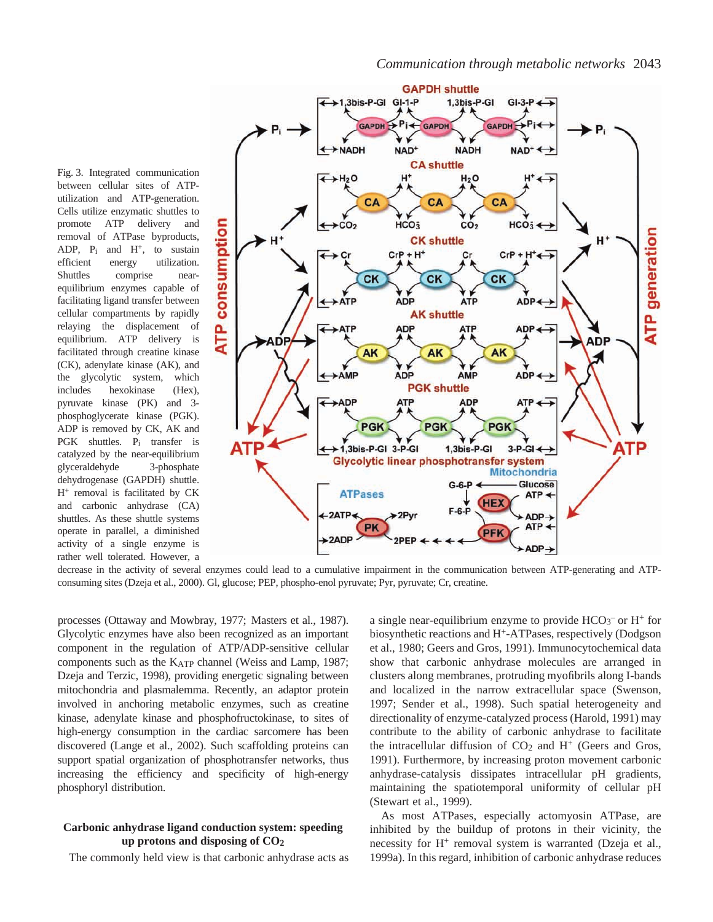**GAPDH** shuttle +1,3bis-P-GI GI-1-P 1,3bis-P-GI  $GI-3-P \leftrightarrow$ GAPDH + Pi+ **GAPDH** GAPDH<sup>+</sup>  $+$ NADH NAD<sup>+</sup> **NADH**  $NAD^+$ **CA shuttle**  $H_2O$  $H^+$  $H<sub>2</sub>O$ CA CA CA  $HCO<sub>3</sub>$  $HCO<sub>3</sub>$  $\rm{{\bf CO}_2}$  $CO<sub>2</sub>$ **CK shuttle**  $CrP + H^+$ Cr  $CrP + H^+ \leftarrow$ **CK** CK CK  $\leftrightarrow$  ATP **ADP ATP** ADP-**AK shuttle** ATP  $ADP \leftrightarrow$ **ADP ATP** ۵DI AK AK AK ← >AMP **ADP** AMP **ADP**  $\leftrightarrow$ **PGK shuttle**  $ADP$ **ATP ADP ATP** 

between cellular sites of ATPutilization and ATP-generation. Cells utilize enzymatic shuttles to promote ATP delivery and removal of ATPase byproducts, ADP,  $P_i$  and  $H^+$ , to sustain efficient energy utilization. Shuttles comprise nearequilibrium enzymes capable of facilitating ligand transfer between cellular compartments by rapidly relaying the displacement of equilibrium. ATP delivery is facilitated through creatine kinase (CK), adenylate kinase (AK), and the glycolytic system, which includes hexokinase (Hex), pyruvate kinase (PK) and 3 phosphoglycerate kinase (PGK). ADP is removed by CK, AK and PGK shuttles. Pi transfer is catalyzed by the near-equilibrium glyceraldehyde 3-phosphate dehydrogenase (GAPDH) shuttle. H+ removal is facilitated by CK and carbonic anhydrase (CA) shuttles. As these shuttle systems operate in parallel, a diminished activity of a single enzyme is rather well tolerated. However, a

Fig. 3. Integrated communication

decrease in the activity of several enzymes could lead to a cumulative impairment in the communication between ATP-generating and ATPconsuming sites (Dzeja et al., 2000). Gl, glucose; PEP, phospho-enol pyruvate; Pyr, pyruvate; Cr, creatine.

processes (Ottaway and Mowbray, 1977; Masters et al., 1987). Glycolytic enzymes have also been recognized as an important component in the regulation of ATP/ADP-sensitive cellular components such as the KATP channel (Weiss and Lamp, 1987; Dzeja and Terzic, 1998), providing energetic signaling between mitochondria and plasmalemma. Recently, an adaptor protein involved in anchoring metabolic enzymes, such as creatine kinase, adenylate kinase and phosphofructokinase, to sites of high-energy consumption in the cardiac sarcomere has been discovered (Lange et al., 2002). Such scaffolding proteins can support spatial organization of phosphotransfer networks, thus increasing the efficiency and specificity of high-energy phosphoryl distribution.

## **Carbonic anhydrase ligand conduction system: speeding up protons and disposing of CO2**

The commonly held view is that carbonic anhydrase acts as

a single near-equilibrium enzyme to provide  $HCO_3^-$  or  $H^+$  for biosynthetic reactions and H+-ATPases, respectively (Dodgson et al., 1980; Geers and Gros, 1991). Immunocytochemical data show that carbonic anhydrase molecules are arranged in clusters along membranes, protruding myofibrils along I-bands and localized in the narrow extracellular space (Swenson, 1997; Sender et al., 1998). Such spatial heterogeneity and directionality of enzyme-catalyzed process (Harold, 1991) may contribute to the ability of carbonic anhydrase to facilitate the intracellular diffusion of  $CO<sub>2</sub>$  and  $H<sup>+</sup>$  (Geers and Gros, 1991). Furthermore, by increasing proton movement carbonic anhydrase-catalysis dissipates intracellular pH gradients, maintaining the spatiotemporal uniformity of cellular pH (Stewart et al., 1999).

As most ATPases, especially actomyosin ATPase, are inhibited by the buildup of protons in their vicinity, the necessity for H<sup>+</sup> removal system is warranted (Dzeja et al., 1999a). In this regard, inhibition of carbonic anhydrase reduces

*Communication through metabolic networks* 2043

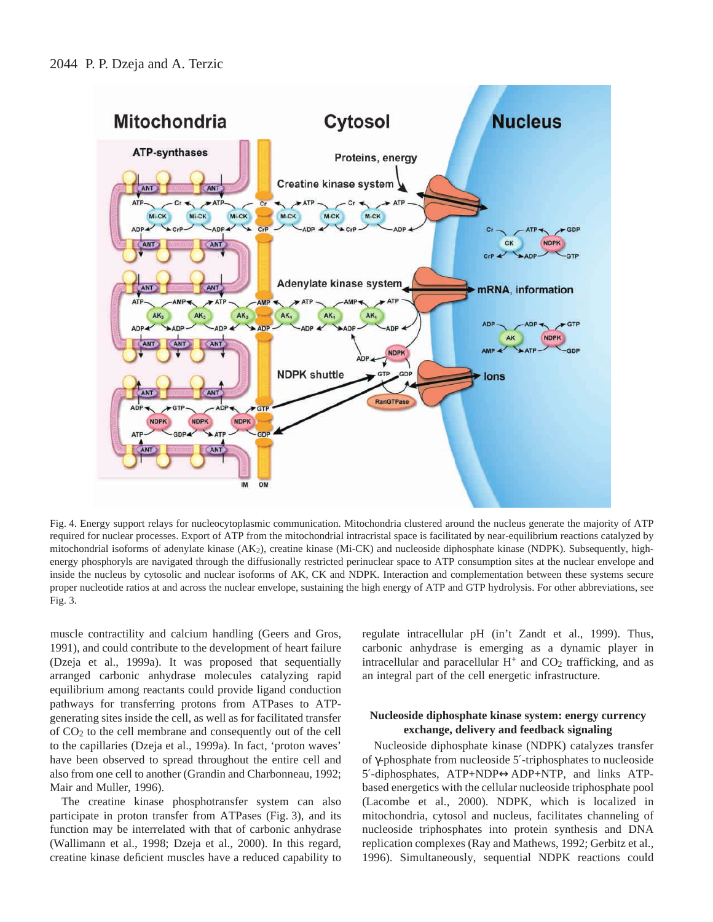

Fig. 4. Energy support relays for nucleocytoplasmic communication. Mitochondria clustered around the nucleus generate the majority of ATP required for nuclear processes. Export of ATP from the mitochondrial intracristal space is facilitated by near-equilibrium reactions catalyzed by mitochondrial isoforms of adenylate kinase (AK2), creatine kinase (Mi-CK) and nucleoside diphosphate kinase (NDPK). Subsequently, highenergy phosphoryls are navigated through the diffusionally restricted perinuclear space to ATP consumption sites at the nuclear envelope and inside the nucleus by cytosolic and nuclear isoforms of AK, CK and NDPK. Interaction and complementation between these systems secure proper nucleotide ratios at and across the nuclear envelope, sustaining the high energy of ATP and GTP hydrolysis. For other abbreviations, see Fig. 3.

muscle contractility and calcium handling (Geers and Gros, 1991), and could contribute to the development of heart failure (Dzeja et al., 1999a). It was proposed that sequentially arranged carbonic anhydrase molecules catalyzing rapid equilibrium among reactants could provide ligand conduction pathways for transferring protons from ATPases to ATPgenerating sites inside the cell, as well as for facilitated transfer of CO2 to the cell membrane and consequently out of the cell to the capillaries (Dzeja et al., 1999a). In fact, 'proton waves' have been observed to spread throughout the entire cell and also from one cell to another (Grandin and Charbonneau, 1992; Mair and Muller, 1996).

The creatine kinase phosphotransfer system can also participate in proton transfer from ATPases (Fig. 3), and its function may be interrelated with that of carbonic anhydrase (Wallimann et al., 1998; Dzeja et al., 2000). In this regard, creatine kinase deficient muscles have a reduced capability to regulate intracellular pH (in't Zandt et al., 1999). Thus, carbonic anhydrase is emerging as a dynamic player in intracellular and paracellular  $H^+$  and  $CO<sub>2</sub>$  trafficking, and as an integral part of the cell energetic infrastructure.

## **Nucleoside diphosphate kinase system: energy currency exchange, delivery and feedback signaling**

Nucleoside diphosphate kinase (NDPK) catalyzes transfer of γ-phosphate from nucleoside 5′-triphosphates to nucleoside 5′-diphosphates, ATP+NDP↔ADP+NTP, and links ATPbased energetics with the cellular nucleoside triphosphate pool (Lacombe et al., 2000). NDPK, which is localized in mitochondria, cytosol and nucleus, facilitates channeling of nucleoside triphosphates into protein synthesis and DNA replication complexes (Ray and Mathews, 1992; Gerbitz et al., 1996). Simultaneously, sequential NDPK reactions could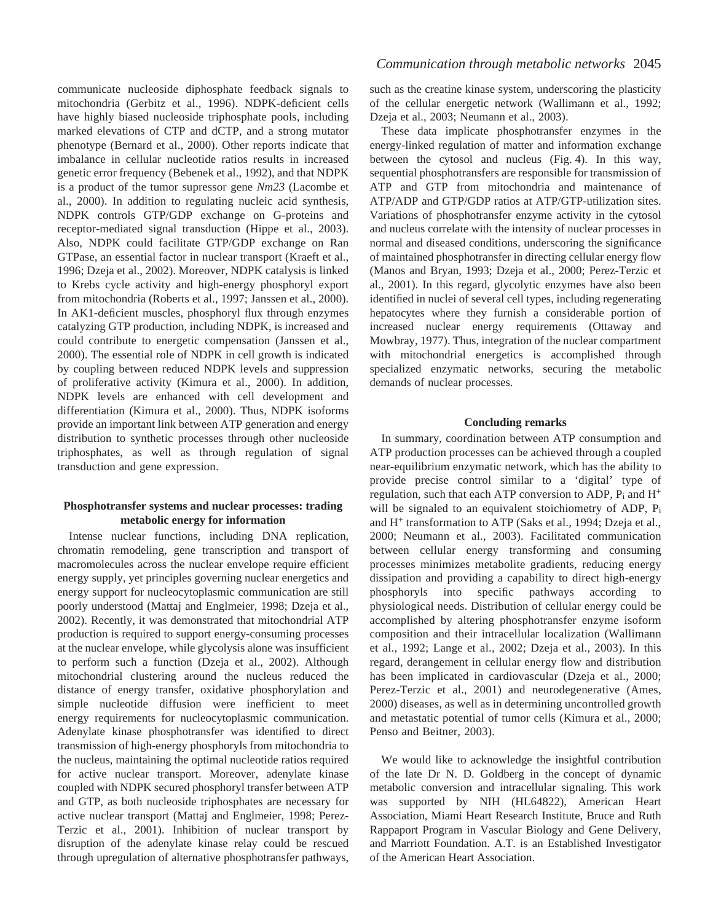communicate nucleoside diphosphate feedback signals to mitochondria (Gerbitz et al., 1996). NDPK-deficient cells have highly biased nucleoside triphosphate pools, including marked elevations of CTP and dCTP, and a strong mutator phenotype (Bernard et al., 2000). Other reports indicate that imbalance in cellular nucleotide ratios results in increased genetic error frequency (Bebenek et al., 1992), and that NDPK is a product of the tumor supressor gene *Nm23* (Lacombe et al., 2000). In addition to regulating nucleic acid synthesis, NDPK controls GTP/GDP exchange on G-proteins and receptor-mediated signal transduction (Hippe et al., 2003). Also, NDPK could facilitate GTP/GDP exchange on Ran GTPase, an essential factor in nuclear transport (Kraeft et al., 1996; Dzeja et al., 2002). Moreover, NDPK catalysis is linked to Krebs cycle activity and high-energy phosphoryl export from mitochondria (Roberts et al., 1997; Janssen et al., 2000). In AK1-deficient muscles, phosphoryl flux through enzymes catalyzing GTP production, including NDPK, is increased and could contribute to energetic compensation (Janssen et al., 2000). The essential role of NDPK in cell growth is indicated by coupling between reduced NDPK levels and suppression of proliferative activity (Kimura et al., 2000). In addition, NDPK levels are enhanced with cell development and differentiation (Kimura et al., 2000). Thus, NDPK isoforms provide an important link between ATP generation and energy distribution to synthetic processes through other nucleoside triphosphates, as well as through regulation of signal transduction and gene expression.

## **Phosphotransfer systems and nuclear processes: trading metabolic energy for information**

Intense nuclear functions, including DNA replication, chromatin remodeling, gene transcription and transport of macromolecules across the nuclear envelope require efficient energy supply, yet principles governing nuclear energetics and energy support for nucleocytoplasmic communication are still poorly understood (Mattaj and Englmeier, 1998; Dzeja et al., 2002). Recently, it was demonstrated that mitochondrial ATP production is required to support energy-consuming processes at the nuclear envelope, while glycolysis alone was insufficient to perform such a function (Dzeja et al., 2002). Although mitochondrial clustering around the nucleus reduced the distance of energy transfer, oxidative phosphorylation and simple nucleotide diffusion were inefficient to meet energy requirements for nucleocytoplasmic communication. Adenylate kinase phosphotransfer was identified to direct transmission of high-energy phosphoryls from mitochondria to the nucleus, maintaining the optimal nucleotide ratios required for active nuclear transport. Moreover, adenylate kinase coupled with NDPK secured phosphoryl transfer between ATP and GTP, as both nucleoside triphosphates are necessary for active nuclear transport (Mattaj and Englmeier, 1998; Perez-Terzic et al., 2001). Inhibition of nuclear transport by disruption of the adenylate kinase relay could be rescued through upregulation of alternative phosphotransfer pathways,

such as the creatine kinase system, underscoring the plasticity of the cellular energetic network (Wallimann et al., 1992; Dzeja et al., 2003; Neumann et al., 2003).

These data implicate phosphotransfer enzymes in the energy-linked regulation of matter and information exchange between the cytosol and nucleus (Fig. 4). In this way, sequential phosphotransfers are responsible for transmission of ATP and GTP from mitochondria and maintenance of ATP/ADP and GTP/GDP ratios at ATP/GTP-utilization sites. Variations of phosphotransfer enzyme activity in the cytosol and nucleus correlate with the intensity of nuclear processes in normal and diseased conditions, underscoring the significance of maintained phosphotransfer in directing cellular energy flow (Manos and Bryan, 1993; Dzeja et al., 2000; Perez-Terzic et al., 2001). In this regard, glycolytic enzymes have also been identified in nuclei of several cell types, including regenerating hepatocytes where they furnish a considerable portion of increased nuclear energy requirements (Ottaway and Mowbray, 1977). Thus, integration of the nuclear compartment with mitochondrial energetics is accomplished through specialized enzymatic networks, securing the metabolic demands of nuclear processes.

#### **Concluding remarks**

In summary, coordination between ATP consumption and ATP production processes can be achieved through a coupled near-equilibrium enzymatic network, which has the ability to provide precise control similar to a 'digital' type of regulation, such that each ATP conversion to ADP,  $P_i$  and  $H^+$ will be signaled to an equivalent stoichiometry of ADP,  $P_i$ and H<sup>+</sup> transformation to ATP (Saks et al., 1994; Dzeja et al., 2000; Neumann et al., 2003). Facilitated communication between cellular energy transforming and consuming processes minimizes metabolite gradients, reducing energy dissipation and providing a capability to direct high-energy phosphoryls into specific pathways according to physiological needs. Distribution of cellular energy could be accomplished by altering phosphotransfer enzyme isoform composition and their intracellular localization (Wallimann et al., 1992; Lange et al., 2002; Dzeja et al., 2003). In this regard, derangement in cellular energy flow and distribution has been implicated in cardiovascular (Dzeja et al., 2000; Perez-Terzic et al., 2001) and neurodegenerative (Ames, 2000) diseases, as well as in determining uncontrolled growth and metastatic potential of tumor cells (Kimura et al., 2000; Penso and Beitner, 2003).

We would like to acknowledge the insightful contribution of the late Dr N. D. Goldberg in the concept of dynamic metabolic conversion and intracellular signaling. This work was supported by NIH (HL64822), American Heart Association, Miami Heart Research Institute, Bruce and Ruth Rappaport Program in Vascular Biology and Gene Delivery, and Marriott Foundation. A.T. is an Established Investigator of the American Heart Association.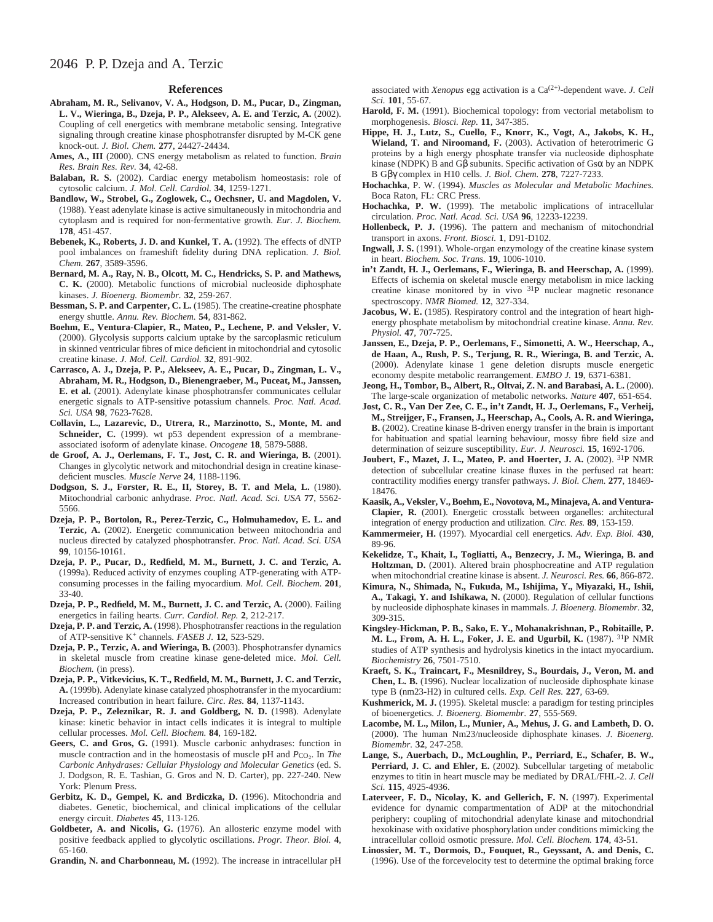#### **References**

- **Abraham, M. R., Selivanov, V. A., Hodgson, D. M., Pucar, D., Zingman, L. V., Wieringa, B., Dzeja, P. P., Alekseev, A. E. and Terzic, A.** (2002). Coupling of cell energetics with membrane metabolic sensing. Integrative signaling through creatine kinase phosphotransfer disrupted by M-CK gene knock-out. *J. Biol. Chem.* **277**, 24427-24434.
- **Ames, A., III** (2000). CNS energy metabolism as related to function. *Brain Res. Brain Res. Rev.* **34**, 42-68.
- Balaban, R. S. (2002). Cardiac energy metabolism homeostasis: role of cytosolic calcium. *J. Mol. Cell. Cardiol.* **34**, 1259-1271.
- **Bandlow, W., Strobel, G., Zoglowek, C., Oechsner, U. and Magdolen, V.** (1988). Yeast adenylate kinase is active simultaneously in mitochondria and cytoplasm and is required for non-fermentative growth. *Eur. J. Biochem.* **178**, 451-457.
- Bebenek, K., Roberts, J. D. and Kunkel, T. A. (1992). The effects of dNTP pool imbalances on frameshift fidelity during DNA replication. *J. Biol. Chem.* **267**, 3589-3596.
- **Bernard, M. A., Ray, N. B., Olcott, M. C., Hendricks, S. P. and Mathews, C. K.** (2000). Metabolic functions of microbial nucleoside diphosphate kinases. *J. Bioenerg. Biomembr.* **32**, 259-267.
- **Bessman, S. P. and Carpenter, C. L.** (1985). The creatine-creatine phosphate energy shuttle. *Annu. Rev. Biochem.* **54**, 831-862.
- **Boehm, E., Ventura-Clapier, R., Mateo, P., Lechene, P. and Veksler, V.** (2000). Glycolysis supports calcium uptake by the sarcoplasmic reticulum in skinned ventricular fibres of mice deficient in mitochondrial and cytosolic creatine kinase. *J. Mol. Cell. Cardiol.* **32**, 891-902.
- **Carrasco, A. J., Dzeja, P. P., Alekseev, A. E., Pucar, D., Zingman, L. V., Abraham, M. R., Hodgson, D., Bienengraeber, M., Puceat, M., Janssen, E. et al.** (2001). Adenylate kinase phosphotransfer communicates cellular energetic signals to ATP-sensitive potassium channels. *Proc. Natl. Acad. Sci. USA* **98**, 7623-7628.
- **Collavin, L., Lazarevic, D., Utrera, R., Marzinotto, S., Monte, M. and Schneider, C.** (1999). wt p53 dependent expression of a membraneassociated isoform of adenylate kinase. *Oncogene* **18**, 5879-5888.
- **de Groof, A. J., Oerlemans, F. T., Jost, C. R. and Wieringa, B.** (2001). Changes in glycolytic network and mitochondrial design in creatine kinasedeficient muscles. *Muscle Nerve* **24**, 1188-1196.
- **Dodgson, S. J., Forster, R. E., II, Storey, B. T. and Mela, L.** (1980). Mitochondrial carbonic anhydrase. *Proc. Natl. Acad. Sci. USA* **77**, 5562- 5566.
- **Dzeja, P. P., Bortolon, R., Perez-Terzic, C., Holmuhamedov, E. L. and Terzic, A.** (2002). Energetic communication between mitochondria and nucleus directed by catalyzed phosphotransfer. *Proc. Natl. Acad. Sci. USA* **99**, 10156-10161.
- **Dzeja, P. P., Pucar, D., Redfield, M. M., Burnett, J. C. and Terzic, A.** (1999a). Reduced activity of enzymes coupling ATP-generating with ATPconsuming processes in the failing myocardium. *Mol. Cell. Biochem.* **201**, 33-40.
- Dzeja, P. P., Redfield, M. M., Burnett, J. C. and Terzic, A. (2000). Failing energetics in failing hearts. *Curr. Cardiol. Rep.* **2**, 212-217.
- **Dzeja, P. P. and Terzic, A.** (1998). Phosphotransfer reactions in the regulation of ATP-sensitive K<sup>+</sup> channels. *FASEB J.* **12**, 523-529.
- **Dzeja, P. P., Terzic, A. and Wieringa, B.** (2003). Phosphotransfer dynamics in skeletal muscle from creatine kinase gene-deleted mice. *Mol. Cell. Biochem.* (in press).
- **Dzeja, P. P., Vitkevicius, K. T., Redfield, M. M., Burnett, J. C. and Terzic, A.** (1999b). Adenylate kinase catalyzed phosphotransfer in the myocardium: Increased contribution in heart failure. *Circ. Res.* **84**, 1137-1143.
- **Dzeja, P. P., Zeleznikar, R. J. and Goldberg, N. D.** (1998). Adenylate kinase: kinetic behavior in intact cells indicates it is integral to multiple cellular processes. *Mol. Cell. Biochem.* **84**, 169-182.
- **Geers, C. and Gros, G.** (1991). Muscle carbonic anhydrases: function in muscle contraction and in the homeostasis of muscle pH and  $P_{\text{CO}_2}$ . In *The Carbonic Anhydrases: Cellular Physiology and Molecular Genetics* (ed. S. J. Dodgson, R. E. Tashian, G. Gros and N. D. Carter), pp. 227-240. New York: Plenum Press.
- **Gerbitz, K. D., Gempel, K. and Brdiczka, D.** (1996). Mitochondria and diabetes. Genetic, biochemical, and clinical implications of the cellular energy circuit. *Diabetes* **45**, 113-126.
- **Goldbeter, A. and Nicolis, G.** (1976). An allosteric enzyme model with positive feedback applied to glycolytic oscillations. *Progr. Theor. Biol.* **4**, 65-160.
- **Grandin, N. and Charbonneau, M.** (1992). The increase in intracellular pH

associated with *Xenopus* egg activation is a Ca(2+)-dependent wave. *J. Cell Sci.* **101**, 55-67.

- Harold, F. M. (1991). Biochemical topology: from vectorial metabolism to morphogenesis. *Biosci. Rep.* **11**, 347-385.
- **Hippe, H. J., Lutz, S., Cuello, F., Knorr, K., Vogt, A., Jakobs, K. H., Wieland, T. and Niroomand, F.** (2003). Activation of heterotrimeric G proteins by a high energy phosphate transfer via nucleoside diphosphate kinase (NDPK) B and Gβ subunits. Specific activation of Gsα by an NDPK B Gβγ complex in H10 cells. *J. Biol. Chem.* **278**, 7227-7233.
- **Hochachka**, P. W. (1994). *Muscles as Molecular and Metabolic Machines.* Boca Raton, FL: CRC Press.
- **Hochachka, P. W.** (1999). The metabolic implications of intracellular circulation. *Proc. Natl. Acad. Sci. USA* **96**, 12233-12239.
- **Hollenbeck, P. J.** (1996). The pattern and mechanism of mitochondrial transport in axons. *Front. Biosci.* **1**, D91-D102.
- **Ingwall, J. S.** (1991). Whole-organ enzymology of the creatine kinase system in heart. *Biochem. Soc. Trans.* **19**, 1006-1010.
- **in't Zandt, H. J., Oerlemans, F., Wieringa, B. and Heerschap, A.** (1999). Effects of ischemia on skeletal muscle energy metabolism in mice lacking creatine kinase monitored by in vivo 31P nuclear magnetic resonance spectroscopy. *NMR Biomed.* **12**, 327-334.
- **Jacobus, W. E.** (1985). Respiratory control and the integration of heart highenergy phosphate metabolism by mitochondrial creatine kinase. *Annu. Rev. Physiol.* **47**, 707-725.
- **Janssen, E., Dzeja, P. P., Oerlemans, F., Simonetti, A. W., Heerschap, A., de Haan, A., Rush, P. S., Terjung, R. R., Wieringa, B. and Terzic, A.** (2000). Adenylate kinase 1 gene deletion disrupts muscle energetic economy despite metabolic rearrangement. *EMBO J.* **19**, 6371-6381.
- **Jeong, H., Tombor, B., Albert, R., Oltvai, Z. N. and Barabasi, A. L.** (2000). The large-scale organization of metabolic networks. *Nature* **407**, 651-654.
- **Jost, C. R., Van Der Zee, C. E., in't Zandt, H. J., Oerlemans, F., Verheij, M., Streijger, F., Fransen, J., Heerschap, A., Cools, A. R. and Wieringa, B.** (2002). Creatine kinase B-driven energy transfer in the brain is important for habituation and spatial learning behaviour, mossy fibre field size and determination of seizure susceptibility. *Eur. J. Neurosci.* **15**, 1692-1706.
- **Joubert, F., Mazet, J. L., Mateo, P. and Hoerter, J. A.** (2002). 31P NMR detection of subcellular creatine kinase fluxes in the perfused rat heart: contractility modifies energy transfer pathways. *J. Biol. Chem.* **277**, 18469- 18476.
- **Kaasik, A., Veksler, V., Boehm, E., Novotova, M., Minajeva, A. and Ventura-Clapier, R.** (2001). Energetic crosstalk between organelles: architectural integration of energy production and utilization. *Circ. Res.* **89**, 153-159.
- **Kammermeier, H.** (1997). Myocardial cell energetics. *Adv. Exp. Biol.* **430**, 89-96.
- **Kekelidze, T., Khait, I., Togliatti, A., Benzecry, J. M., Wieringa, B. and Holtzman, D.** (2001). Altered brain phosphocreatine and ATP regulation when mitochondrial creatine kinase is absent. *J. Neurosci. Res.* **66**, 866-872.
- **Kimura, N., Shimada, N., Fukuda, M., Ishijima, Y., Miyazaki, H., Ishii, A., Takagi, Y. and Ishikawa, N.** (2000). Regulation of cellular functions by nucleoside diphosphate kinases in mammals. *J. Bioenerg. Biomembr.* **32**, 309-315.
- **Kingsley-Hickman, P. B., Sako, E. Y., Mohanakrishnan, P., Robitaille, P. M. L., From, A. H. L., Foker, J. E. and Ugurbil, K.** (1987). 31P NMR studies of ATP synthesis and hydrolysis kinetics in the intact myocardium. *Biochemistry* **26**, 7501-7510.
- **Kraeft, S. K., Traincart, F., Mesnildrey, S., Bourdais, J., Veron, M. and Chen, L. B.** (1996). Nuclear localization of nucleoside diphosphate kinase type B (nm23-H2) in cultured cells. *Exp. Cell Res.* **227**, 63-69.
- **Kushmerick, M. J.** (1995). Skeletal muscle: a paradigm for testing principles of bioenergetics. *J. Bioenerg. Biomembr.* **27**, 555-569.
- **Lacombe, M. L., Milon, L., Munier, A., Mehus, J. G. and Lambeth, D. O.** (2000). The human Nm23/nucleoside diphosphate kinases. *J. Bioenerg. Biomembr.* **32**, 247-258.
- **Lange, S., Auerbach, D., McLoughlin, P., Perriard, E., Schafer, B. W.,** Perriard, J. C. and Ehler, E. (2002). Subcellular targeting of metabolic enzymes to titin in heart muscle may be mediated by DRAL/FHL-2. *J. Cell Sci.* **115**, 4925-4936.
- Laterveer, F. D., Nicolay, K. and Gellerich, F. N. (1997). Experimental evidence for dynamic compartmentation of ADP at the mitochondrial periphery: coupling of mitochondrial adenylate kinase and mitochondrial hexokinase with oxidative phosphorylation under conditions mimicking the intracellular colloid osmotic pressure. *Mol. Cell. Biochem.* **174**, 43-51.
- **Linossier, M. T., Dormois, D., Fouquet, R., Geyssant, A. and Denis, C.** (1996). Use of the forcevelocity test to determine the optimal braking force